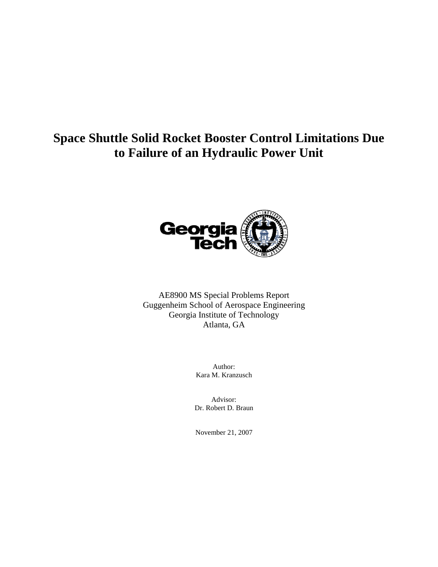# **Space Shuttle Solid Rocket Booster Control Limitations Due to Failure of an Hydraulic Power Unit**



AE8900 MS Special Problems Report Guggenheim School of Aerospace Engineering Georgia Institute of Technology Atlanta, GA

> Author: Kara M. Kranzusch

Advisor: Dr. Robert D. Braun

November 21, 2007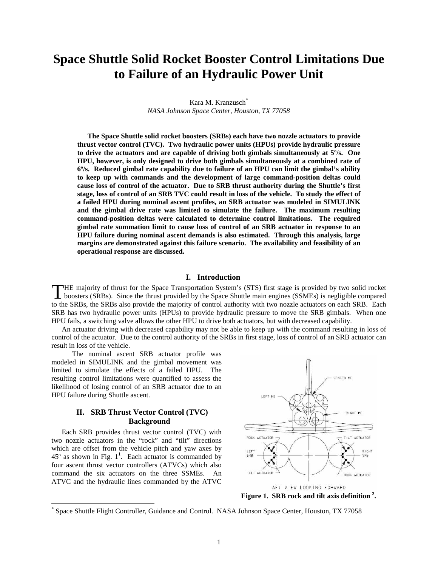## **Space Shuttle Solid Rocket Booster Control Limitations Due to Failure of an Hydraulic Power Unit**

Kara M. Kranzusch<sup>\*</sup> *NASA Johnson Space Center, Houston, TX 77058* 

**The Space Shuttle solid rocket boosters (SRBs) each have two nozzle actuators to provide thrust vector control (TVC). Two hydraulic power units (HPUs) provide hydraulic pressure to drive the actuators and are capable of driving both gimbals simultaneously at 5º/s. One HPU, however, is only designed to drive both gimbals simultaneously at a combined rate of 6º/s. Reduced gimbal rate capability due to failure of an HPU can limit the gimbal's ability to keep up with commands and the development of large command-position deltas could cause loss of control of the actuator. Due to SRB thrust authority during the Shuttle's first stage, loss of control of an SRB TVC could result in loss of the vehicle. To study the effect of a failed HPU during nominal ascent profiles, an SRB actuator was modeled in SIMULINK and the gimbal drive rate was limited to simulate the failure. The maximum resulting command-position deltas were calculated to determine control limitations. The required gimbal rate summation limit to cause loss of control of an SRB actuator in response to an HPU failure during nominal ascent demands is also estimated. Through this analysis, large margins are demonstrated against this failure scenario. The availability and feasibility of an operational response are discussed.** 

## **I. Introduction**

HE majority of thrust for the Space Transportation System's (STS) first stage is provided by two solid rocket THE majority of thrust for the Space Transportation System's (STS) first stage is provided by two solid rocket boosters (SRBs). Since the thrust provided by the Space Shuttle main engines (SSMEs) is negligible compared to the SRBs, the SRBs also provide the majority of control authority with two nozzle actuators on each SRB. Each SRB has two hydraulic power units (HPUs) to provide hydraulic pressure to move the SRB gimbals. When one HPU fails, a switching valve allows the other HPU to drive both actuators, but with decreased capability.

 An actuator driving with decreased capability may not be able to keep up with the command resulting in loss of control of the actuator. Due to the control authority of the SRBs in first stage, loss of control of an SRB actuator can result in loss of the vehicle.

 The nominal ascent SRB actuator profile was modeled in SIMULINK and the gimbal movement was limited to simulate the effects of a failed HPU. The resulting control limitations were quantified to assess the likelihood of losing control of an SRB actuator due to an HPU failure during Shuttle ascent.

## **II. SRB Thrust Vector Control (TVC) Background**

Each SRB provides thrust vector control (TVC) with two nozzle actuators in the "rock" and "tilt" directions which are offset from the vehicle pitch and yaw axes by  $45^{\circ}$  as shown in Fig. 1<sup>1</sup>. Each actuator is commanded by four ascent thrust vector controllers (ATVCs) which also command the six actuators on the three SSMEs. An ATVC and the hydraulic lines commanded by the ATVC

 $\overline{a}$ 



**Figure 1. SRB rock and tilt axis definition <sup>2</sup> .** 

<sup>\*</sup> Space Shuttle Flight Controller, Guidance and Control. NASA Johnson Space Center, Houston, TX 77058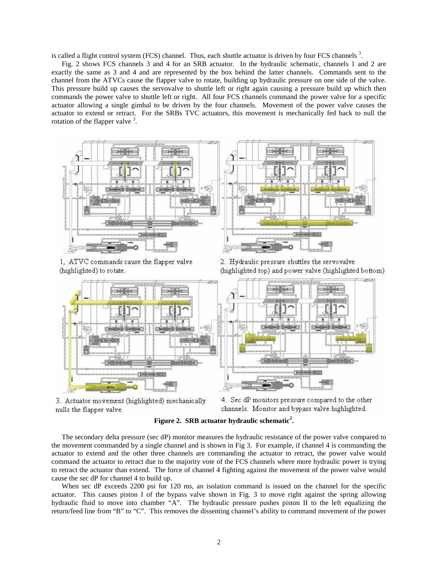is called a flight control system (FCS) channel. Thus, each shuttle actuator is driven by four FCS channels  $3$ .

Fig. 2 shows FCS channels 3 and 4 for an SRB actuator. In the hydraulic schematic, channels 1 and 2 are exactly the same as 3 and 4 and are represented by the box behind the latter channels. Commands sent to the channel from the ATVCs cause the flapper valve to rotate, building up hydraulic pressure on one side of the valve. This pressure build up causes the servovalve to shuttle left or right again causing a pressure build up which then commands the power valve to shuttle left or right. All four FCS channels command the power valve for a specific actuator allowing a single gimbal to be driven by the four channels. Movement of the power valve causes the actuator to extend or retract. For the SRBs TVC actuators, this movement is mechanically fed back to null the rotation of the flapper valve <sup>3</sup>.



1, ATVC commands cause the flapper valve (highlighted) to rotate.

2. Hydraulic pressure shuttles the servovalve (highlighted top) and power valve (highlighted bottom)



3. Actuator movement (highlighted) mechanically nulls the flapper valve.

4. Sec dP monitors pressure compared to the other channels. Monitor and bypass valve highlighted.

## **Figure 2. SRB actuator hydraulic schematic<sup>2</sup> .**

The secondary delta pressure (sec dP) monitor measures the hydraulic resistance of the power valve compared to the movement commanded by a single channel and is shown in Fig 3. For example, if channel 4 is commanding the actuator to extend and the other three channels are commanding the actuator to retract, the power valve would command the actuator to retract due to the majority vote of the FCS channels where more hydraulic power is trying to retract the actuator than extend. The force of channel 4 fighting against the movement of the power valve would cause the sec dP for channel 4 to build up.

When sec dP exceeds 2200 psi for 120 ms, an isolation command is issued on the channel for the specific actuator. This causes piston I of the bypass valve shown in Fig. 3 to move right against the spring allowing hydraulic fluid to move into chamber "A". The hydraulic pressure pushes piston II to the left equalizing the return/feed line from "B" to "C". This removes the dissenting channel's ability to command movement of the power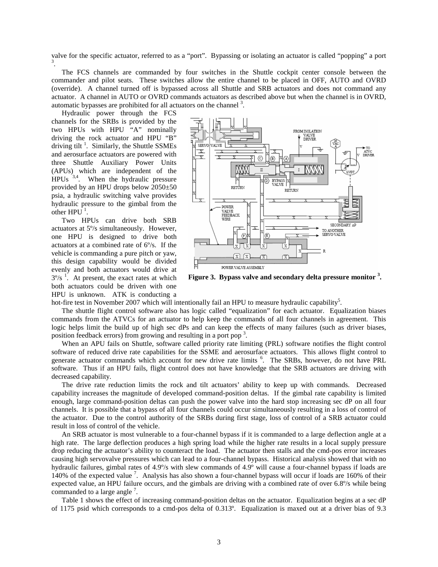valve for the specific actuator, referred to as a "port". Bypassing or isolating an actuator is called "popping" a port 3 .

The FCS channels are commanded by four switches in the Shuttle cockpit center console between the commander and pilot seats. These switches allow the entire channel to be placed in OFF, AUTO and OVRD (override). A channel turned off is bypassed across all Shuttle and SRB actuators and does not command any actuator. A channel in AUTO or OVRD commands actuators as described above but when the channel is in OVRD, automatic bypasses are prohibited for all actuators on the channel  $3$ .

Hydraulic power through the FCS channels for the SRBs is provided by the two HPUs with HPU "A" nominally driving the rock actuator and HPU "B" driving tilt<sup>1</sup>. Similarly, the Shuttle SSMEs and aerosurface actuators are powered with three Shuttle Auxiliary Power Units (APUs) which are independent of the  $HPUs$ <sup>3,4</sup>. When the hydraulic pressure provided by an HPU drops below 2050±50 psia, a hydraulic switching valve provides hydraulic pressure to the gimbal from the other  $HPU^1$ .

Two HPUs can drive both SRB actuators at 5º/s simultaneously. However, one HPU is designed to drive both actuators at a combined rate of 6º/s. If the vehicle is commanding a pure pitch or yaw, this design capability would be divided evenly and both actuators would drive at  $3^{\circ}/s$ <sup>1</sup>. At present, the exact rates at which both actuators could be driven with one HPU is unknown. ATK is conducting a



**Figure 3. Bypass valve and secondary delta pressure monitor <sup>3</sup> .** 

hot-fire test in November 2007 which will intentionally fail an HPU to measure hydraulic capability<sup>5</sup>.

The shuttle flight control software also has logic called "equalization" for each actuator. Equalization biases commands from the ATVCs for an actuator to help keep the commands of all four channels in agreement. This logic helps limit the build up of high sec dPs and can keep the effects of many failures (such as driver biases, position feedback errors) from growing and resulting in a port pop<sup>3</sup>.

When an APU fails on Shuttle, software called priority rate limiting (PRL) software notifies the flight control software of reduced drive rate capabilities for the SSME and aerosurface actuators. This allows flight control to generate actuator commands which account for new drive rate limits <sup>6</sup>. The SRBs, however, do not have PRL software. Thus if an HPU fails, flight control does not have knowledge that the SRB actuators are driving with decreased capability.

The drive rate reduction limits the rock and tilt actuators' ability to keep up with commands. Decreased capability increases the magnitude of developed command-position deltas. If the gimbal rate capability is limited enough, large command-position deltas can push the power valve into the hard stop increasing sec dP on all four channels. It is possible that a bypass of all four channels could occur simultaneously resulting in a loss of control of the actuator. Due to the control authority of the SRBs during first stage, loss of control of a SRB actuator could result in loss of control of the vehicle.

An SRB actuator is most vulnerable to a four-channel bypass if it is commanded to a large deflection angle at a high rate. The large deflection produces a high spring load while the higher rate results in a local supply pressure drop reducing the actuator's ability to counteract the load. The actuator then stalls and the cmd-pos error increases causing high servovalve pressures which can lead to a four-channel bypass. Historical analysis showed that with no hydraulic failures, gimbal rates of 4.9º/s with slew commands of 4.9º will cause a four-channel bypass if loads are 140% of the expected value<sup>7</sup>. Analysis has also shown a four-channel bypass will occur if loads are 160% of their expected value, an HPU failure occurs, and the gimbals are driving with a combined rate of over 6.8º/s while being commanded to a large angle  $<sup>7</sup>$ .</sup>

Table 1 shows the effect of increasing command-position deltas on the actuator. Equalization begins at a sec dP of 1175 psid which corresponds to a cmd-pos delta of 0.313º. Equalization is maxed out at a driver bias of 9.3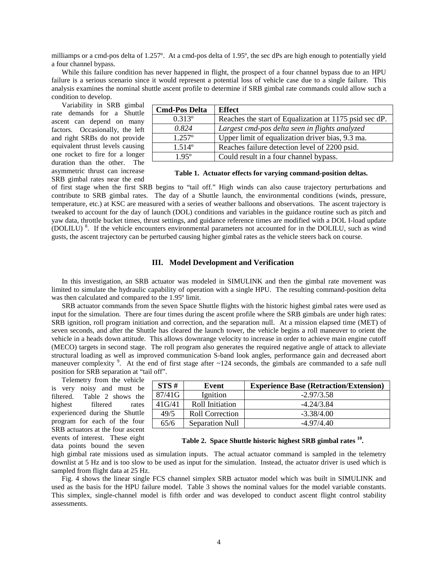milliamps or a cmd-pos delta of 1.257º. At a cmd-pos delta of 1.95º, the sec dPs are high enough to potentially yield a four channel bypass.

While this failure condition has never happened in flight, the prospect of a four channel bypass due to an HPU failure is a serious scenario since it would represent a potential loss of vehicle case due to a single failure. This analysis examines the nominal shuttle ascent profile to determine if SRB gimbal rate commands could allow such a condition to develop.

Variability in SRB gimbal rate demands for a Shuttle ascent can depend on many factors. Occasionally, the left and right SRBs do not provide equivalent thrust levels causing one rocket to fire for a longer duration than the other. The asymmetric thrust can increase SRB gimbal rates near the end

| <b>Cmd-Pos Delta</b> | <b>Effect</b>                                          |
|----------------------|--------------------------------------------------------|
| $0.313^{\circ}$      | Reaches the start of Equalization at 1175 psid sec dP. |
| 0.824                | Largest cmd-pos delta seen in flights analyzed         |
| $1.257^{\circ}$      | Upper limit of equalization driver bias, 9.3 ma.       |
| $1.514^{\circ}$      | Reaches failure detection level of 2200 psid.          |
| 195°                 | Could result in a four channel bypass.                 |

**Table 1. Actuator effects for varying command-position deltas.** 

of first stage when the first SRB begins to "tail off." High winds can also cause trajectory perturbations and contribute to SRB gimbal rates. The day of a Shuttle launch, the environmental conditions (winds, pressure, temperature, etc.) at KSC are measured with a series of weather balloons and observations. The ascent trajectory is tweaked to account for the day of launch (DOL) conditions and variables in the guidance routine such as pitch and yaw data, throttle bucket times, thrust settings, and guidance reference times are modified with a DOL I-load update (DOLILU) <sup>8</sup> . If the vehicle encounters environmental parameters not accounted for in the DOLILU, such as wind gusts, the ascent trajectory can be perturbed causing higher gimbal rates as the vehicle steers back on course.

## **III. Model Development and Verification**

In this investigation, an SRB actuator was modeled in SIMULINK and then the gimbal rate movement was limited to simulate the hydraulic capability of operation with a single HPU. The resulting command-position delta was then calculated and compared to the 1.95º limit.

SRB actuator commands from the seven Space Shuttle flights with the historic highest gimbal rates were used as input for the simulation. There are four times during the ascent profile where the SRB gimbals are under high rates: SRB ignition, roll program initiation and correction, and the separation null. At a mission elapsed time (MET) of seven seconds, and after the Shuttle has cleared the launch tower, the vehicle begins a roll maneuver to orient the vehicle in a heads down attitude. This allows downrange velocity to increase in order to achieve main engine cutoff (MECO) targets in second stage. The roll program also generates the required negative angle of attack to alleviate structural loading as well as improved communication S-band look angles, performance gain and decreased abort maneuver complexity<sup>9</sup>. At the end of first stage after ~124 seconds, the gimbals are commanded to a safe null position for SRB separation at "tail off".

Telemetry from the vehicle is very noisy and must be filtered. Table 2 shows the highest filtered rates experienced during the Shuttle program for each of the four SRB actuators at the four ascent events of interest. These eight data points bound the seven

| STS#   | Event                  | <b>Experience Base (Retraction/Extension)</b> |
|--------|------------------------|-----------------------------------------------|
| 87/41G | Ignition               | $-2.97/3.58$                                  |
| 41G/41 | Roll Initiation        | $-4.24/3.84$                                  |
| 49/5   | Roll Correction        | $-3.38/4.00$                                  |
| 65/6   | <b>Separation Null</b> | $-4.97/4.40$                                  |

**Table 2. Space Shuttle historic highest SRB gimbal rates <sup>10</sup> .**

high gimbal rate missions used as simulation inputs. The actual actuator command is sampled in the telemetry downlist at 5 Hz and is too slow to be used as input for the simulation. Instead, the actuator driver is used which is sampled from flight data at 25 Hz.

Fig. 4 shows the linear single FCS channel simplex SRB actuator model which was built in SIMULINK and used as the basis for the HPU failure model. Table 3 shows the nominal values for the model variable constants. This simplex, single-channel model is fifth order and was developed to conduct ascent flight control stability assessments.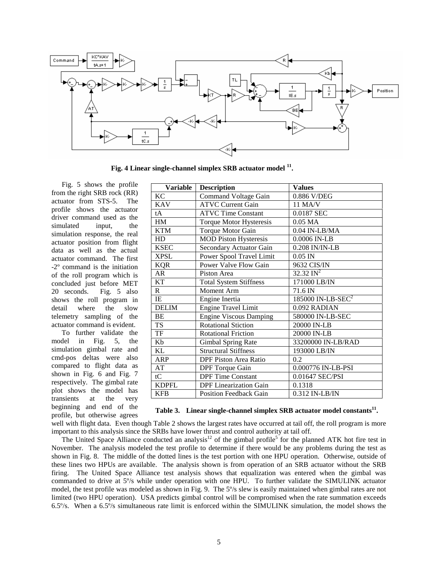

**Fig. 4 Linear single-channel simplex SRB actuator model <sup>11</sup> .** 

Fig. 5 shows the profile from the right SRB rock (RR) actuator from STS-5. The profile shows the actuator driver command used as the simulated input, the simulation response, the real actuator position from flight data as well as the actual actuator command. The first -2º command is the initiation of the roll program which is concluded just before MET 20 seconds. Fig. 5 also shows the roll program in detail where the slow telemetry sampling of the actuator command is evident.

To further validate the model in Fig. 5, the simulation gimbal rate and cmd-pos deltas were also compared to flight data as shown in Fig. 6 and Fig. 7 respectively. The gimbal rate plot shows the model has transients at the very beginning and end of the profile, but otherwise agrees

| <b>Variable</b> | <b>Description</b>             | <b>Values</b>                 |  |
|-----------------|--------------------------------|-------------------------------|--|
| <b>KC</b>       | <b>Command Voltage Gain</b>    | 0.886 V/DEG                   |  |
| <b>KAV</b>      | <b>ATVC Current Gain</b>       | 11 MA/V                       |  |
| tA              | <b>ATVC Time Constant</b>      | 0.0187 SEC                    |  |
| HM              | <b>Torque Motor Hysteresis</b> | $0.05$ MA                     |  |
| <b>KTM</b>      | Torque Motor Gain              | $0.04$ IN-LB/MA               |  |
| HD              | <b>MOD Piston Hysteresis</b>   | 0.0006 IN-LB                  |  |
| <b>KSEC</b>     | Secondary Actuator Gain        | 0.208 IN/IN-LB                |  |
| <b>XPSL</b>     | Power Spool Travel Limit       | $0.05$ IN                     |  |
| <b>KQR</b>      | Power Valve Flow Gain          | 9632 CIS/IN                   |  |
| AR              | Piston Area                    | $32.32 \text{ IN}^2$          |  |
| KT              | <b>Total System Stiffness</b>  | 171000 LB/IN                  |  |
| $\mathbf{R}$    | Moment Arm                     | 71.6 IN                       |  |
| IE              | Engine Inertia                 | 185000 IN-LB-SEC <sup>2</sup> |  |
| <b>DELIM</b>    | <b>Engine Travel Limit</b>     | 0.092 RADIAN                  |  |
| BE              | <b>Engine Viscous Damping</b>  | 580000 IN-LB-SEC              |  |
| <b>TS</b>       | <b>Rotational Stiction</b>     | 20000 IN-LB                   |  |
| TF              | <b>Rotational Friction</b>     | 20000 IN-LB                   |  |
| Kb              | Gimbal Spring Rate             | 33200000 IN-LB/RAD            |  |
| KL              | <b>Structural Stiffness</b>    | 193000 LB/IN                  |  |
| <b>ARP</b>      | DPF Piston Area Ratio          | 0.2                           |  |
| AT              | <b>DPF</b> Torque Gain         | 0.000776 IN-LB-PSI            |  |
| tC              | <b>DPF</b> Time Constant       | 0.01647 SEC/PSI               |  |
| <b>KDPFL</b>    | <b>DPF</b> Linearization Gain  | 0.1318                        |  |
| <b>KFB</b>      | <b>Position Feedback Gain</b>  | 0.312 IN-LB/IN                |  |

## **Table 3. Linear single-channel simplex SRB actuator model constants<sup>11</sup> .**

well with flight data. Even though Table 2 shows the largest rates have occurred at tail off, the roll program is more important to this analysis since the SRBs have lower thrust and control authority at tail off.

The United Space Alliance conducted an analysis<sup>12</sup> of the gimbal profile<sup>5</sup> for the planned ATK hot fire test in November. The analysis modeled the test profile to determine if there would be any problems during the test as shown in Fig. 8. The middle of the dotted lines is the test portion with one HPU operation. Otherwise, outside of these lines two HPUs are available. The analysis shown is from operation of an SRB actuator without the SRB firing. The United Space Alliance test analysis shows that equalization was entered when the gimbal was commanded to drive at 5º/s while under operation with one HPU. To further validate the SIMULINK actuator model, the test profile was modeled as shown in Fig. 9. The 5º/s slew is easily maintained when gimbal rates are not limited (two HPU operation). USA predicts gimbal control will be compromised when the rate summation exceeds 6.5º/s. When a 6.5º/s simultaneous rate limit is enforced within the SIMULINK simulation, the model shows the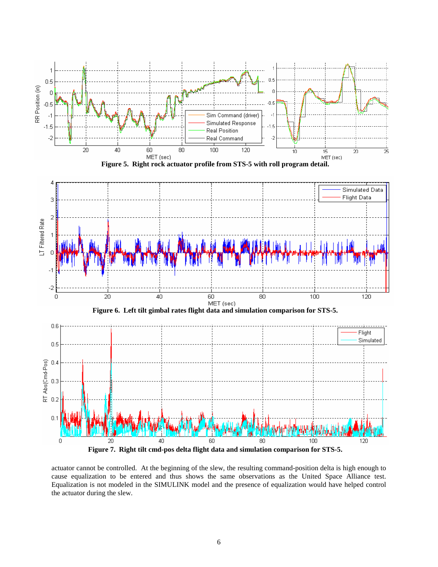

actuator cannot be controlled. At the beginning of the slew, the resulting command-position delta is high enough to cause equalization to be entered and thus shows the same observations as the United Space Alliance test. Equalization is not modeled in the SIMULINK model and the presence of equalization would have helped control the actuator during the slew.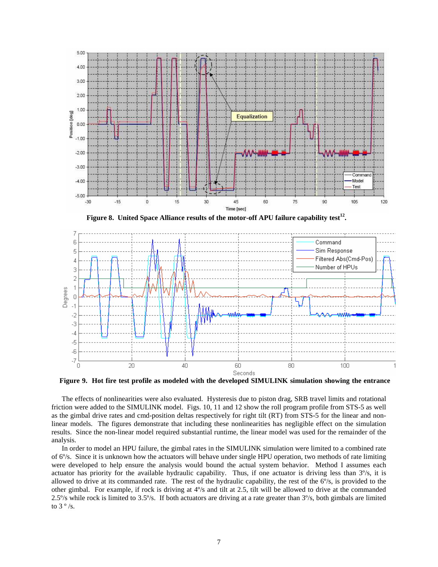

**Figure 8. United Space Alliance results of the motor-off APU failure capability test<sup>12</sup> .** 



**Figure 9. Hot fire test profile as modeled with the developed SIMULINK simulation showing the entrance** 

The effects of nonlinearities were also evaluated. Hysteresis due to piston drag, SRB travel limits and rotational friction were added to the SIMULINK model. Figs. 10, 11 and 12 show the roll program profile from STS-5 as well as the gimbal drive rates and cmd-position deltas respectively for right tilt (RT) from STS-5 for the linear and nonlinear models. The figures demonstrate that including these nonlinearities has negligible effect on the simulation results. Since the non-linear model required substantial runtime, the linear model was used for the remainder of the analysis.

In order to model an HPU failure, the gimbal rates in the SIMULINK simulation were limited to a combined rate of 6º/s. Since it is unknown how the actuators will behave under single HPU operation, two methods of rate limiting were developed to help ensure the analysis would bound the actual system behavior. Method I assumes each actuator has priority for the available hydraulic capability. Thus, if one actuator is driving less than 3º/s, it is allowed to drive at its commanded rate. The rest of the hydraulic capability, the rest of the  $6\%$ , is provided to the other gimbal. For example, if rock is driving at 4º/s and tilt at 2.5, tilt will be allowed to drive at the commanded 2.5º/s while rock is limited to 3.5º/s. If both actuators are driving at a rate greater than 3º/s, both gimbals are limited to  $3°/s$ .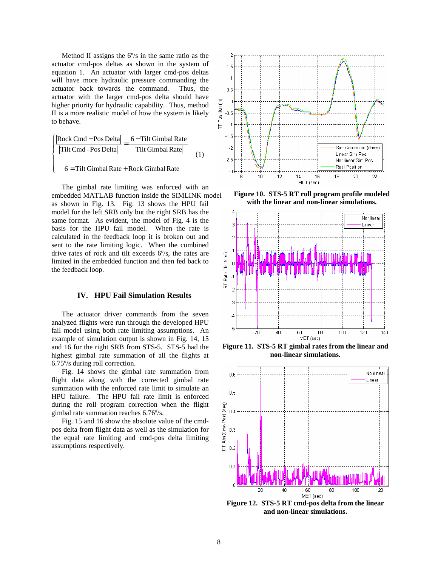Method II assigns the 6º/s in the same ratio as the actuator cmd-pos deltas as shown in the system of equation 1. An actuator with larger cmd-pos deltas will have more hydraulic pressure commanding the actuator back towards the command. Thus, the actuator with the larger cmd-pos delta should have higher priority for hydraulic capability. Thus, method II is a more realistic model of how the system is likely to behave.

$$
\left| \frac{\left| \text{Rock Cmd} - \text{Pos Delta} \right|}{\left| \text{Tilt Cmd} - \text{Pos Delta} \right|} = \frac{\left| 6 - \text{Tilt Gimbal Rate} \right|}{\left| \text{Tilt Gimbal Rate} \right|} \right|
$$
\n
$$
6 = \text{Tilt Gimbal Rate} + \text{Rock Gimbal Rate} \tag{1}
$$

$$
6 = Tilt Gimbal Rate + Rock Gimbal Rate
$$

 $\mathfrak{g}$ 

The gimbal rate limiting was enforced with an embedded MATLAB function inside the SIMLINK model as shown in Fig. 13. Fig. 13 shows the HPU fail model for the left SRB only but the right SRB has the same format. As evident, the model of Fig. 4 is the basis for the HPU fail model. When the rate is calculated in the feedback loop it is broken out and sent to the rate limiting logic. When the combined drive rates of rock and tilt exceeds 6º/s, the rates are limited in the embedded function and then fed back to the feedback loop.

#### **IV. HPU Fail Simulation Results**

The actuator driver commands from the seven analyzed flights were run through the developed HPU fail model using both rate limiting assumptions. An example of simulation output is shown in Fig. 14, 15 and 16 for the right SRB from STS-5. STS-5 had the highest gimbal rate summation of all the flights at 6.75º/s during roll correction.

Fig. 14 shows the gimbal rate summation from flight data along with the corrected gimbal rate summation with the enforced rate limit to simulate an HPU failure. The HPU fail rate limit is enforced during the roll program correction when the flight gimbal rate summation reaches 6.76º/s.

 Fig. 15 and 16 show the absolute value of the cmdpos delta from flight data as well as the simulation for the equal rate limiting and cmd-pos delta limiting assumptions respectively.



**Figure 10. STS-5 RT roll program profile modeled with the linear and non-linear simulations.** 



**Figure 11. STS-5 RT gimbal rates from the linear and non-linear simulations.** 



**Figure 12. STS-5 RT cmd-pos delta from the linear and non-linear simulations.**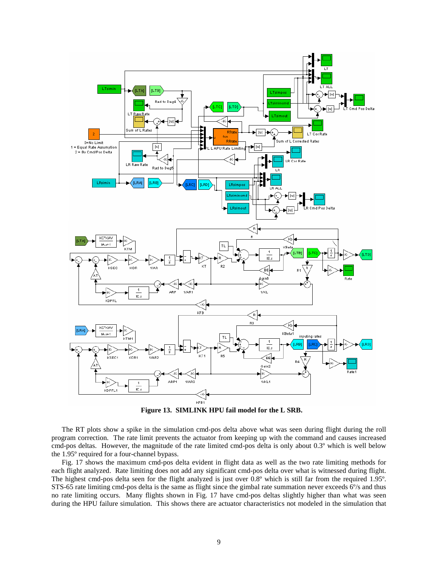

**Figure 13. SIMLINK HPU fail model for the L SRB.** 

The RT plots show a spike in the simulation cmd-pos delta above what was seen during flight during the roll program correction. The rate limit prevents the actuator from keeping up with the command and causes increased cmd-pos deltas. However, the magnitude of the rate limited cmd-pos delta is only about 0.3º which is well below the 1.95º required for a four-channel bypass.

Fig. 17 shows the maximum cmd-pos delta evident in flight data as well as the two rate limiting methods for each flight analyzed. Rate limiting does not add any significant cmd-pos delta over what is witnessed during flight. The highest cmd-pos delta seen for the flight analyzed is just over 0.8º which is still far from the required 1.95º. STS-65 rate limiting cmd-pos delta is the same as flight since the gimbal rate summation never exceeds 6º/s and thus no rate limiting occurs. Many flights shown in Fig. 17 have cmd-pos deltas slightly higher than what was seen during the HPU failure simulation. This shows there are actuator characteristics not modeled in the simulation that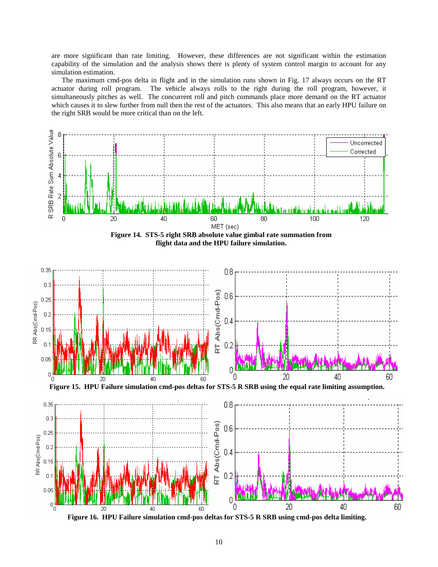are more significant than rate limiting. However, these differences are not significant within the estimation capability of the simulation and the analysis shows there is plenty of system control margin to account for any simulation estimation.

The maximum cmd-pos delta in flight and in the simulation runs shown in Fig. 17 always occurs on the RT actuator during roll program. The vehicle always rolls to the right during the roll program, however, it simultaneously pitches as well. The concurrent roll and pitch commands place more demand on the RT actuator which causes it to slew further from null then the rest of the actuators. This also means that an early HPU failure on the right SRB would be more critical than on the left.



**Figure 16. HPU Failure simulation cmd-pos deltas for STS-5 R SRB using cmd-pos delta limiting.**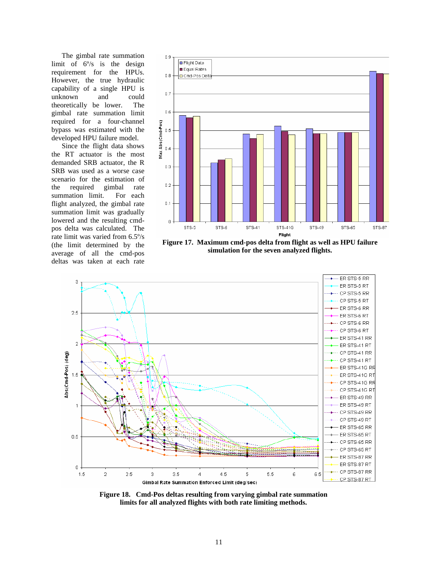The gimbal rate summation limit of  $6^{\circ}/s$  is the design requirement for the HPUs. However, the true hydraulic capability of a single HPU is unknown and could theoretically be lower. The gimbal rate summation limit required for a four-channel bypass was estimated with the developed HPU failure model.

Since the flight data shows the RT actuator is the most demanded SRB actuator, the R SRB was used as a worse case scenario for the estimation of the required gimbal rate summation limit. For each flight analyzed, the gimbal rate summation limit was gradually lowered and the resulting cmdpos delta was calculated. The rate limit was varied from 6.5º/s (the limit determined by the average of all the cmd-pos deltas was taken at each rate



**Figure 17. Maximum cmd-pos delta from flight as well as HPU failure simulation for the seven analyzed flights.** 



**Figure 18. Cmd-Pos deltas resulting from varying gimbal rate summation limits for all analyzed flights with both rate limiting methods.**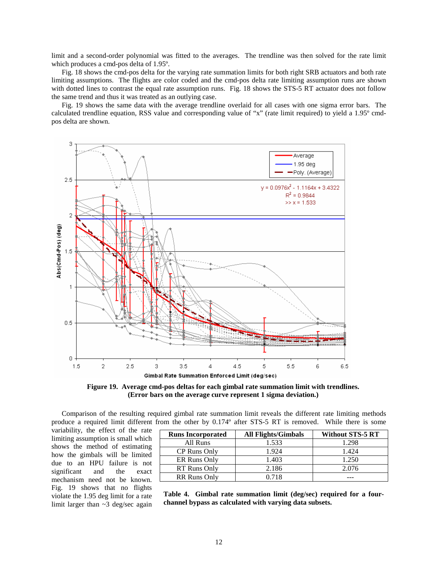limit and a second-order polynomial was fitted to the averages. The trendline was then solved for the rate limit which produces a cmd-pos delta of 1.95º.

Fig. 18 shows the cmd-pos delta for the varying rate summation limits for both right SRB actuators and both rate limiting assumptions. The flights are color coded and the cmd-pos delta rate limiting assumption runs are shown with dotted lines to contrast the equal rate assumption runs. Fig. 18 shows the STS-5 RT actuator does not follow the same trend and thus it was treated as an outlying case.

Fig. 19 shows the same data with the average trendline overlaid for all cases with one sigma error bars. The calculated trendline equation, RSS value and corresponding value of "x" (rate limit required) to yield a 1.95º cmdpos delta are shown.



**Figure 19. Average cmd-pos deltas for each gimbal rate summation limit with trendlines. (Error bars on the average curve represent 1 sigma deviation.)** 

Comparison of the resulting required gimbal rate summation limit reveals the different rate limiting methods produce a required limit different from the other by 0.174º after STS-5 RT is removed. While there is some

variability, the effect of the rate limiting assumption is small which shows the method of estimating how the gimbals will be limited due to an HPU failure is not significant and the exact mechanism need not be known. Fig. 19 shows that no flights violate the 1.95 deg limit for a rate limit larger than ~3 deg/sec again

| <b>Runs Incorporated</b> | <b>All Flights/Gimbals</b> | <b>Without STS-5 RT</b> |
|--------------------------|----------------------------|-------------------------|
| All Runs                 | 1.533                      | 1.298                   |
| CP Runs Only             | 1.924                      | 1.424                   |
| ER Runs Only             | 1.403                      | 1.250                   |
| RT Runs Only             | 2.186                      | 2.076                   |
| <b>RR Runs Only</b>      | 0.718                      |                         |

**Table 4. Gimbal rate summation limit (deg/sec) required for a fourchannel bypass as calculated with varying data subsets.**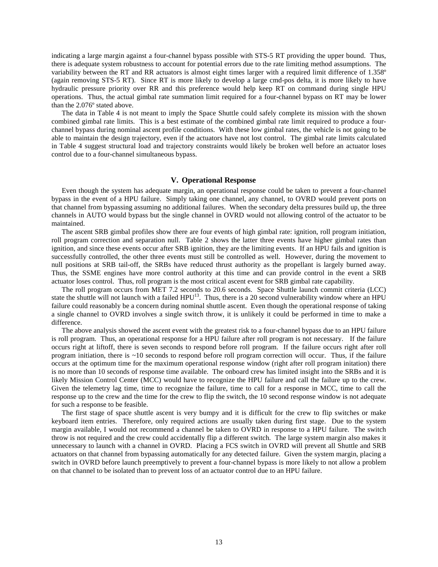indicating a large margin against a four-channel bypass possible with STS-5 RT providing the upper bound. Thus, there is adequate system robustness to account for potential errors due to the rate limiting method assumptions. The variability between the RT and RR actuators is almost eight times larger with a required limit difference of 1.358º (again removing STS-5 RT). Since RT is more likely to develop a large cmd-pos delta, it is more likely to have hydraulic pressure priority over RR and this preference would help keep RT on command during single HPU operations. Thus, the actual gimbal rate summation limit required for a four-channel bypass on RT may be lower than the 2.076º stated above.

The data in Table 4 is not meant to imply the Space Shuttle could safely complete its mission with the shown combined gimbal rate limits. This is a best estimate of the combined gimbal rate limit required to produce a fourchannel bypass during nominal ascent profile conditions. With these low gimbal rates, the vehicle is not going to be able to maintain the design trajectory, even if the actuators have not lost control. The gimbal rate limits calculated in Table 4 suggest structural load and trajectory constraints would likely be broken well before an actuator loses control due to a four-channel simultaneous bypass.

#### **V. Operational Response**

Even though the system has adequate margin, an operational response could be taken to prevent a four-channel bypass in the event of a HPU failure. Simply taking one channel, any channel, to OVRD would prevent ports on that channel from bypassing assuming no additional failures. When the secondary delta pressures build up, the three channels in AUTO would bypass but the single channel in OVRD would not allowing control of the actuator to be maintained.

The ascent SRB gimbal profiles show there are four events of high gimbal rate: ignition, roll program initiation, roll program correction and separation null. Table 2 shows the latter three events have higher gimbal rates than ignition, and since these events occur after SRB ignition, they are the limiting events. If an HPU fails and ignition is successfully controlled, the other three events must still be controlled as well. However, during the movement to null positions at SRB tail-off, the SRBs have reduced thrust authority as the propellant is largely burned away. Thus, the SSME engines have more control authority at this time and can provide control in the event a SRB actuator loses control. Thus, roll program is the most critical ascent event for SRB gimbal rate capability.

The roll program occurs from MET 7.2 seconds to 20.6 seconds. Space Shuttle launch commit criteria (LCC) state the shuttle will not launch with a failed  $HPU^{13}$ . Thus, there is a 20 second vulnerability window where an HPU failure could reasonably be a concern during nominal shuttle ascent. Even though the operational response of taking a single channel to OVRD involves a single switch throw, it is unlikely it could be performed in time to make a difference.

The above analysis showed the ascent event with the greatest risk to a four-channel bypass due to an HPU failure is roll program. Thus, an operational response for a HPU failure after roll program is not necessary. If the failure occurs right at liftoff, there is seven seconds to respond before roll program. If the failure occurs right after roll program initiation, there is  $\sim$ 10 seconds to respond before roll program correction will occur. Thus, if the failure occurs at the optimum time for the maximum operational response window (right after roll program initation) there is no more than 10 seconds of response time available. The onboard crew has limited insight into the SRBs and it is likely Mission Control Center (MCC) would have to recognize the HPU failure and call the failure up to the crew. Given the telemetry lag time, time to recognize the failure, time to call for a response in MCC, time to call the response up to the crew and the time for the crew to flip the switch, the 10 second response window is not adequate for such a response to be feasible.

The first stage of space shuttle ascent is very bumpy and it is difficult for the crew to flip switches or make keyboard item entries. Therefore, only required actions are usually taken during first stage. Due to the system margin available, I would not recommend a channel be taken to OVRD in response to a HPU failure. The switch throw is not required and the crew could accidentally flip a different switch. The large system margin also makes it unnecessary to launch with a channel in OVRD. Placing a FCS switch in OVRD will prevent all Shuttle and SRB actuators on that channel from bypassing automatically for any detected failure. Given the system margin, placing a switch in OVRD before launch preemptively to prevent a four-channel bypass is more likely to not allow a problem on that channel to be isolated than to prevent loss of an actuator control due to an HPU failure.